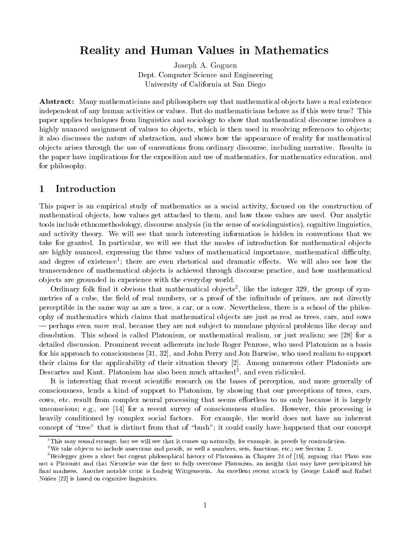# Reality and Human Values in Mathematics

Joseph A. Goguen Dept. Computer Science and Engineering University of California at San Diego

Abstract: Many mathematicians and philosophers say that mathematical objects have a real existence independent of any human activities or values. But do mathematicians behave as if this were true? This paper applies techniques from linguistics and sociology to show that mathematical discourse involves a highly nuanced assignment of values to objects, which is then used in resolving references to objects; it also discusses the nature of abstraction, and shows how the appearance of reality for mathematical ob jects arises through the use of conventions from ordinary discourse, including narrative. Results in the paper have implications for the exposition and use of mathematics, for mathematics education, and for philosophy.

#### **Introduction**  $\mathbf 1$

This paper is an empirical study of mathematics as a social activity, focused on the construction of mathematical objects, how values get attached to them, and how those values are used. Our analytic tools include ethnomethodology, discourse analysis (in the sense of sociolinguistics), cognitive linguistics, and activity theory. We will see that much interesting information is hidden in conventions that we take for granted. In particular, we will see that the modes of introduction for mathematical objects are highly nuanced, expressing the three values of mathematical importance, mathematical difficulty, and degree of existence ; there are even rhetorical and dramatic effects. We will also see now the transcendence of mathematical ob jects is achieved through discourse practice, and how mathematical ob jects are grounded in experience with the everyday world.

Ordinary folk nd it obvious that mathematical ob jects2 , like the integer 329, the group of symmetries of a cube, the field of real numbers, or a proof of the infinitude of primes, are not directly perceptible in the same way as are a tree, a car, or a cow. Nevertheless, there is a school of the philosophy of mathematics which claims that mathematical ob jects are just as real as trees, cars, and cows perhaps even more real, because they are not subject to mundane physical problems like decay and dissolution. This school is called Platonism, or mathematical realism, or just realism; see [28] for a detailed discussion. Prominent recent adherents include Roger Penrose, who used Platonism as a basis for his approach to consciousness [31, 32], and John Perry and Jon Barwise, who used realism to support their claims for the applicability of their situation theory [2]. Among numerous other Platonists are Descartes and Kant. Platonism has also been much attacked", and even ridiculed.

It is interesting that recent scientific research on the bases of perception, and more generally of consciousness, lends a kind of support to Platonism, by showing that our preceptions of trees, cars, cows, etc. result from complex neural processing that seems effortless to us only because it is largely unconscious; e.g., see [14] for a recent survey of consciousness studies. However, this processing is heavily conditioned by complex social factors. For example, the world does not have an inherent concept of \tree" that is distinct from that of \bush"; it could easily have happened that our concept

<sup>&</sup>lt;sup>1</sup>This may sound strange, but we will see that it comes up naturally, for example, in proofs by contradiction.

<sup>&</sup>lt;sup>2</sup>We take objects to include assertions and proofs, as well a numbers, sets, functions, etc.; see Section 2.

<sup>3</sup>Heidegger gives a short but cogent philosophical history of Platonism in Chapter 24 of [19], arguing that Plato was not a Platonist and that Nietzsche was the first to fully overcome Platonism, an insight that may have precipitated his final madness. Another notable critic is Ludwig Wittgenstein. An excellent recent attack by George Lakoff and Rafael Núñez [22] is based on cognitive linguistics.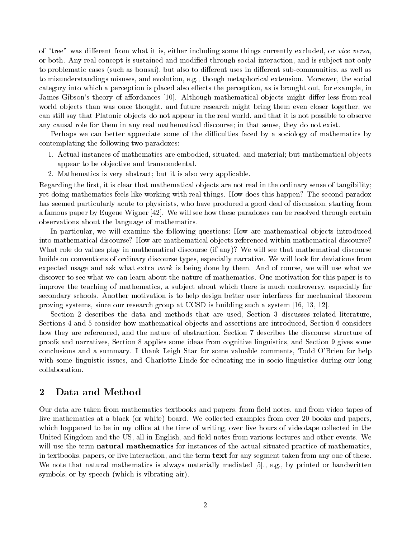of "tree" was different from what it is, either including some things currently excluded, or vice versa, or both. Any real concept is sustained and modied through social interaction, and is sub ject not only to problematic cases (such as bonsai), but also to different uses in different sub-communities, as well as to misunderstandings misuses, and evolution, e.g., though metaphorical extension. Moreover, the social category into which a perception is placed also effects the perception, as is brought out, for example, in James Gibson's theory of affordances [10]. Although mathematical objects might differ less from real world objects than was once thought, and future research might bring them even closer together, we can still say that Platonic objects do not appear in the real world, and that it is not possible to observe any causal role for them in any real mathematical discourse; in that sense, they do not exist.

Perhaps we can better appreciate some of the difficulties faced by a sociology of mathematics by contemplating the following two paradoxes:

- 1. Actual instances of mathematics are embodied, situated, and material; but mathematical ob jects appear to be objective and transcendental.
- 2. Mathematics is very abstract; but it is also very applicable.

Regarding the first, it is clear that mathematical objects are not real in the ordinary sense of tangibility; yet doing mathematics feels like working with real things. How does this happen? The second paradox has seemed particularly acute to physicists, who have produced a good deal of discussion, starting from a famous paper by Eugene Wigner [42]. We will see how these paradoxes can be resolved through certain observations about the language of mathematics.

In particular, we will examine the following questions: How are mathematical objects introduced into mathematical discourse? How are mathematical objects referenced within mathematical discourse? What role do values play in mathematical discourse (if any)? We will see that mathematical discourse builds on conventions of ordinary discourse types, especially narrative. We will look for deviations from expected usage and ask what extra *work* is being done by them. And of course, we will use what we discover to see what we can learn about the nature of mathematics. One motivation for this paper is to improve the teaching of mathematics, a sub ject about which there is much controversy, especially for secondary schools. Another motivation is to help design better user interfaces for mechanical theorem proving systems, since our research group at UCSD is building such a system [16, 13, 12].

Section 2 describes the data and methods that are used, Section 3 discusses related literature, Sections 4 and 5 consider how mathematical objects and assertions are introduced, Section 6 considers how they are referenced, and the nature of abstraction, Section 7 describes the discourse structure of proofs and narratives, Section 8 applies some ideas from cognitive linguistics, and Section 9 gives some conclusions and a summary. I thank Leigh Star for some valuable comments, Todd O'Brien for help with some linguistic issues, and Charlotte Linde for educating me in socio-linguistics during our long collaboration.

#### 2 Data and Method

Our data are taken from mathematics textbooks and papers, from field notes, and from video tapes of live mathematics at a black (or white) board. We collected examples from over 20 books and papers, which happened to be in my office at the time of writing, over five hours of videotape collected in the United Kingdom and the US, all in English, and field notes from various lectures and other events. We will use the term **natural mathematics** for instances of the actual situated practice of mathematics, in textbooks, papers, or live interaction, and the term text for any segment taken from any one of these. We note that natural mathematics is always materially mediated [5]., e.g., by printed or handwritten symbols, or by speech (which is vibrating air).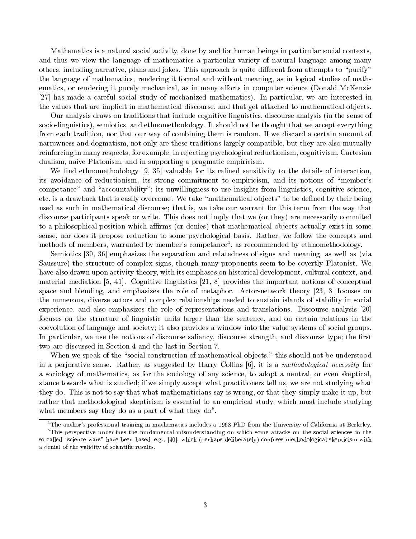Mathematics is a natural social activity, done by and for human beings in particular social contexts, and thus we view the language of mathematics a particular variety of natural language among many others, including narrative, plans and jokes. This approach is quite different from attempts to "purify" the language of mathematics, rendering it formal and without meaning, as in logical studies of mathematics, or rendering it purely mechanical, as in many efforts in computer science (Donald McKenzie [27] has made a careful social study of mechanized mathematics). In particular, we are interested in the values that are implicit in mathematical discourse, and that get attached to mathematical ob jects.

Our analysis draws on traditions that include cognitive linguistics, discourse analysis (in the sense of socio-linguistics), semiotics, and ethnomethodology. It should not be thought that we accept everything from each tradition, nor that our way of combining them is random. If we discard a certain amount of narrowness and dogmatism, not only are these traditions largely compatible, but they are also mutually reinforcing in many respects, for example, in rejecting psychological reductionism, cognitivism, Cartesian dualism, naive Platonism, and in supporting a pragmatic empiricism.

We find ethnomethodology  $[9, 35]$  valuable for its refined sensitivity to the details of interaction, its avoidance of reductionism, its strong commitment to empiricism, and its notions of \member's competance" and "accountability"; its unwillingness to use insights from linguistics, cognitive science, etc. is a drawback that is easily overcome. We take "mathematical objects" to be defined by their being used assuch in mathematical discourse; that is, we take our warrant for this term from the way that discourse participants speak or write. This does not imply that we (or they) are necessarily commited to a philosophical position which affirms (or denies) that mathematical objects actually exist in some sense, nor does it propose reduction to some psychological basis. Rather, we follow the concepts and methods of members, warranted by member's competance4 , as recommended by ethnomethodology.

Semiotics [30, 36] emphasizes the separation and relatedness of signs and meaning, as well as (via Saussure) the structure of complex signs, though many proponents seem to be covertly Platonist. We have also drawn upon activity theory, with its emphases on historical development, cultural context, and material mediation [5, 41]. Cognitive linguistics [21, 8] provides the important notions of conceptual space and blending, and emphasizes the role of metaphor. Actor-network theory [23, 3] focuses on the numerous, diverse actors and complex relationships needed to sustain islands of stability in social experience, and also emphasizes the role of representations and translations. Discourse analysis [20] focuses on the structure of linguistic units larger than the sentence, and on certain relations in the coevolution of language and society; it also provides a window into the value systems of social groups. In particular, we use the notions of discourse saliency, discourse strength, and discourse type; the first two are discussed in Section 4 and the last in Section 7.

When we speak of the "social construction of mathematical objects," this should not be understood in a perjorative sense. Rather, as suggested by Harry Collins  $[6]$ , it is a methodological necessity for a sociology of mathematics, as for the sociology of any science, to adopt a neutral, or even skeptical, stance towards what is studied; if we simply accept what practitioners tell us, we are not studying what they do. This is not to say that what mathematicians say is wrong, or that they simply make it up, but rather that methodological skepticism is essential to an empirical study, which must include studying what members say they do as a part of what they do.

<sup>4</sup>The author's professional training in mathematics includes a 1968 PhD from the University of California at Berkeley.

<sup>5</sup>This perspective underlines the fundamental misunderstanding on which some attacks on the social sciences in the so-called "science wars" have been based, e.g.,  $[40]$ , which (perhaps deliberately) confuses methodological skepticism with a denial of the validity of scientic results.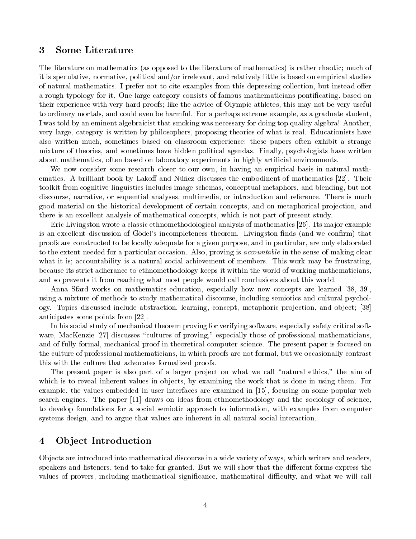#### 3 Some Literature

The literature on mathematics (as opposed to the literature of mathematics) is rather chaotic; much of it is speculative, normative, political and/or irrelevant, and relatively little is based on empirical studies of natural mathematics. I prefer not to cite examples from this depressing collection, but instead offer a rough typology for it. One large category consists of famous mathematicians ponticating, based on their experience with very hard proofs; like the advice of Olympic athletes, this may not be very useful to ordinary mortals, and could even be harmful. For a perhaps extreme example, as a graduate student, I was told by an eminent algebraicist that smoking was necessary for doing top quality algebra! Another, very large, category is written by philosophers, proposing theories of what is real. Educationists have also written much, sometimes based on classroom experience; these papers often exhibit a strange mixture of theories, and sometimes have hidden political agendas. Finally, psychologists have written about mathematics, often based on laboratory experiments in highly articial environments.

We now consider some research closer to our own, in having an empirical basis in natural mathematics. A brilliant book by Lakoff and Nunez discusses the embodinent of mathematics  $[22]$ . Their toolkit from cognitive linguistics includes image schemas, conceptual metaphors, and blending, but not discourse, narrative, or sequential analyses, multimedia, or introduction and reference. There is much good material on the historical development of certain concepts, and on metaphorical projection, and there is an excellent analysis of mathematical concepts, which is not part of present study.

Eric Livingston wrote a classic ethnomethodological analysis of mathematics [26]. Its major example is an excellent discussion of Gödel's incompleteness theorem. Livingston finds (and we confirm) that proofs are constructed to be locally adequate for a given purpose, and in particular, are only elaborated to the extent needed for a particular occasion. Also, proving is accountable in the sense of making clear what it is; accountability is a natural social achievement of members. This work may be frustrating, because its strict adherance to ethnomethodology keeps it within the world of working mathematicians, and so prevents it from reaching what most people would call conclusions about this world.

Anna Sfard works on mathematics education, especially how new concepts are learned [38, 39], using a mixture of methods to study mathematical discourse, including semiotics and cultural psychology. Topics discussed include abstraction, learning, concept, metaphoric projection, and object; [38] anticipates some points from [22].

In his social study of mechanical theorem proving for verifying software, especially safety critical software, MacKenzie [27] discusses "cultures of proving," especially those of professional mathematicians, and of fully formal, mechanical proof in theoretical computer science. The present paper is focused on the culture of professional mathematicians, in which proofs are not formal, but we occasionally contrast this with the culture that advocates formalized proofs.

The present paper is also part of a larger project on what we call "natural ethics," the aim of which is to reveal inherent values in objects, by examining the work that is done in using them. For example, the values embedded in user interfaces are examined in [15], focusing on some popular web search engines. The paper [11] draws on ideas from ethnomethodology and the sociology of science, to develop foundations for a social semiotic approach to information, with examples from computer systems design, and to argue that values are inherent in all natural social interaction.

#### 4 Ob ject Introduction

Ob jects are introduced into mathematical discourse in a wide variety of ways, which writers and readers, speakers and listeners, tend to take for granted. But we will show that the different forms express the values of provers, including mathematical significance, mathematical difficulty, and what we will call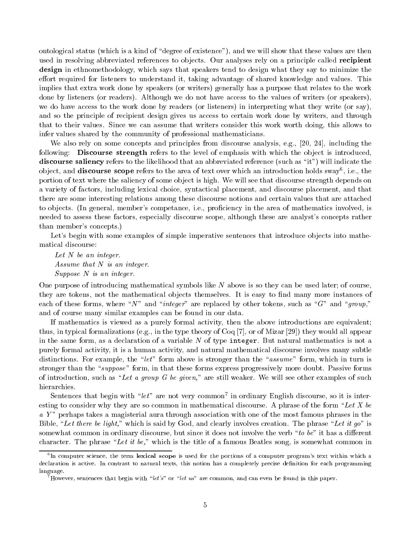ontological status (which is a kind of \degree of existence"), and we will show that these values are then used in resolving abbreviated references to objects. Our analyses rely on a principle called **recipient** design in ethnomethodology, which says that speakers tend to design what they say to minimize the effort required for listeners to understand it, taking advantage of shared knowledge and values. This implies that extra work done by speakers (or writers) generally has a purpose that relates to the work done by listeners (or readers). Although we do not have access to the values of writers (or speakers), we do have access to the work done by readers (or listeners) in interpreting what they write (or say), and so the principle of recipient design gives us access to certain work done by writers, and through that to their values. Since we can assume that writers consider this work worth doing, this allows to infer values shared by the community of professional mathematicians.

We also rely on some concepts and principles from discourse analysis, e.g., [20, 24], including the following: Discourse strength refers to the level of emphasis with which the object is introduced, discourse saliency refers to the likelihood that an abbreviated reference (such as "it") will indicate the object, and  ${\bf discourse \; scope}$  refers to the area of text over which an introduction holds sway", i.e., the  $\,$ portion of text where the saliency of some object is high. We will see that discourse strength depends on a variety of factors, including lexical choice, syntactical placement, and discourse placement, and that there are some interesting relations among these discourse notions and certain values that are attached to objects. (In general, member's competance, i.e., proficiency in the area of mathematics involved, is needed to assess these factors, especially discourse scope, although these are analyst's concepts rather than member's concepts.)

Let's begin with some examples of simple imperative sentences that introduce objects into mathematical discourse:

Let N be an integer. Assume that <sup>N</sup> is an integer. Suppose <sup>N</sup> is an integer.

One purpose of introducing mathematical symbols like <sup>N</sup> above is so they can be used later; of course, they are tokens, not the mathematical objects themselves. It is easy to find many more instances of each of these forms, where "N" and "integer" are replaced by other tokens, such as "G" and "group," and of course many similar examples can be found in our data.

If mathematics is viewed as a purely formal activity, then the above introductions are equivalent; thus, in typical formalizations (e.g., in the type theory of Coq [7], or of Mizar [29]) they would all appear in the same form, as a declaration of a variable  $N$  of type integer. But natural mathematics is not a purely formal activity, it is a human activity, and natural mathematical discourse involves many subtle distinctions. For example, the " $let$ " form above is stronger than the "assume" form, which in turn is stronger than the "suppose" form, in that these forms express progressively more doubt. Passive forms of introduction, such as "Let a group G be given," are still weaker. We will see other examples of such hierarchies.

Sentences that begin with  $\|u\|$  are not very common<sup>t</sup> in ordinary English discourse, so it is interesting to consider why they are so common in mathematical discourse. A phrase of the form "Let X be a Y" perhaps takes a magisterial aura through association with one of the most famous phrases in the Bible, "Let there be light," which is said by God, and clearly involves creation. The phrase "Let it go" is somewhat common in ordinary discourse, but since it does not involve the verb "to be" it has a different character. The phrase "Let it be," which is the title of a famous Beatles song, is somewhat common in

<sup>&</sup>lt;sup>o</sup>In computer science, the term lexical scope is used for the portions of a computer program's text within which a declaration is active. In contrast to natural texts, this notion has a completely precise denition for each programming language.

However, sentences that begin with "let's" or "let us" are common, and can even be found in this paper.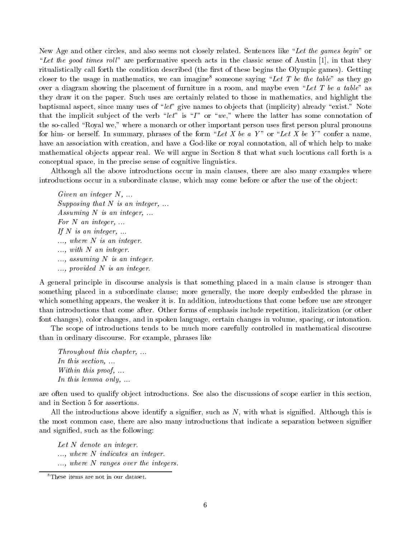New Age and other circles, and also seems not closely related. Sentences like "Let the games begin" or "Let the good times roll" are performative speech acts in the classic sense of Austin [1], in that they ritualistically call forth the condition described (the first of these begins the Olympic games). Getting closer to the usage in mathematics, we can imagine<sup>8</sup> someone saying "Let T be the table" as they go over a diagram showing the placement of furniture in a room, and maybe even "Let T be a table" as they draw it on the paper. Such uses are certainly related to those in mathematics, and highlight the baptismal aspect, since many uses of "let" give names to objects that (implicity) already "exist." Note that the implicit subject of the verb "let" is "I" or "we," where the latter has some connotation of the so-called "Royal we," where a monarch or other important person uses first person plural pronouns for him- or herself. In summary, phrases of the form "Let X be a Y" or "Let X be Y" confer a name, have an association with creation, and have a God-like or royal connotation, all of which help to make mathematical objects appear real. We will argue in Section 8 that what such locutions call forth is a conceptual space, in the precise sense of cognitive linguistics.

Although all the above introductions occur in main clauses, there are also many examples where introductions occur in a subordinate clause, which may come before or after the use of the object:

Given an integer N, ... Supposing that  $N$  is an integer, ... Assuming <sup>N</sup> is an integer, ... For N an integer, ... If  $N$  is an integer, ... ..., where <sup>N</sup> is an integer. ..., with <sup>N</sup> an integer.  $...,$  assuming  $N$  is an integer. ..., provided <sup>N</sup> is an integer.

A general principle in discourse analysis is that something placed in a main clause is stronger than something placed in a subordinate clause; more generally, the more deeply embedded the phrase in which something appears, the weaker it is. In addition, introductions that come before use are stronger than introductions that come after. Other forms of emphasis include repetition, italicization (or other font changes), color changes, and in spoken language, certain changes in volume, spacing, or intonation.

The scope of introductions tends to be much more carefully controlled in mathematical discourse than in ordinary discourse. For example, phrases like

Throughout this chapter, ... In this section, ... Within this proof, ... In this lemma only, ...

are often used to qualify object introductions. See also the discussions of scope earlier in this section, and in Section 5 for assertions.

All the introductions above identify a signifier, such as  $N$ , with what is signified. Although this is the most common case, there are also many introductions that indicate a separation between signifier and signied, such as the following:

Let N denote an integer. ..., where <sup>N</sup> indicates an integer. ..., where <sup>N</sup> ranges over the integers.

<sup>8</sup>These items are not in our dataset.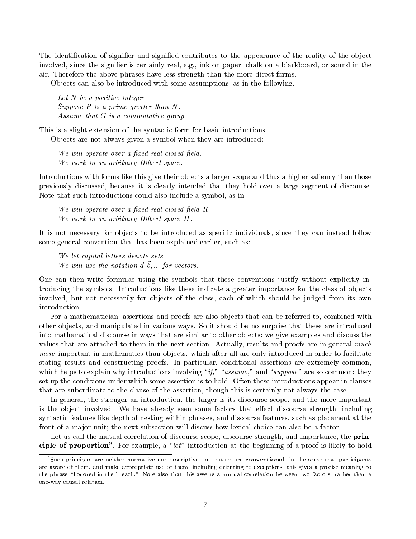The identification of signifier and signified contributes to the appearance of the reality of the object involved, since the signifier is certainly real, e.g., ink on paper, chalk on a blackboard, or sound in the air. Therefore the above phrases have less strength than the more direct forms.

Objects can also be introduced with some assumptions, as in the following,

Let  $N$  be a positive integer. Suppose <sup>P</sup> is a prime greater than N. Assume that <sup>G</sup> is a commutative group.

This is a slight extension of the syntactic form for basic introductions.

Ob jects are not always given a symbol when they are introduced:

We will operate over a fixed real closed field. We work in an arbitrary Hilbert space.

Introductions with forms like this give their objects a larger scope and thus a higher saliency than those previously discussed, because it is clearly intended that they hold over a large segment of discourse. Note that such introductions could also include a symbol, as in

We will operate over a fixed real closed field  $R$ .<br>We work in an arbitrary Hilbert space  $H$ .

It is not necessary for objects to be introduced as specific individuals, since they can instead follow some general convention that has been explained earlier, such as:

We let capital letters denote sets. We will use the notation  $a, o, \ldots$  for vectors.

One can then write formulae using the symbols that these conventions justify without explicitly introducing the symbols. Introductions like these indicate a greater importance for the class of objects involved, but not necessarily for objects of the class, each of which should be judged from its own introduction.

For a mathematician, assertions and proofs are also objects that can be referred to, combined with other ob jects, and manipulated in various ways. So it should be no surprise that these are introduced into mathematical discourse in ways that are similar to other objects; we give examples and discuss the values that are attached to them in the next section. Actually, results and proofs are in general much more important in mathematics than objects, which after all are only introduced in order to facilitate stating results and constructing proofs. In particular, conditional assertions are extremely common, which helps to explain why introductions involving "*if*," "*assume*," and "*suppose*" are so common: they set up the conditions under which some assertion is to hold. Often these introductions appear in clauses that are subordinate to the clause of the assertion, though this is certainly not always the case.

In general, the stronger an introduction, the larger is its discourse scope, and the more important is the object involved. We have already seen some factors that effect discourse strength, including syntactic features like depth of nesting within phrases, and discourse features, such as placement at the front of a ma jor unit; the next subsection will discuss how lexical choice can also be a factor.

Let us call the mutual correlation of discourse scope, discourse strength, and importance, the **prin**ciple of proportion . For example, a  $\lceil let \rceil$  introduction at the beginning of a proof is likely to hold

<sup>9</sup>Such principles are neither normative nor descriptive, but rather are conventional, in the sense that participants are aware of them, and make appropriate use of them, including orienting to exceptions; this gives a precise meaning to the phrase "honored in the breach." Note also that this asserts a mutual correlation between two factors, rather than a one-way causal relation.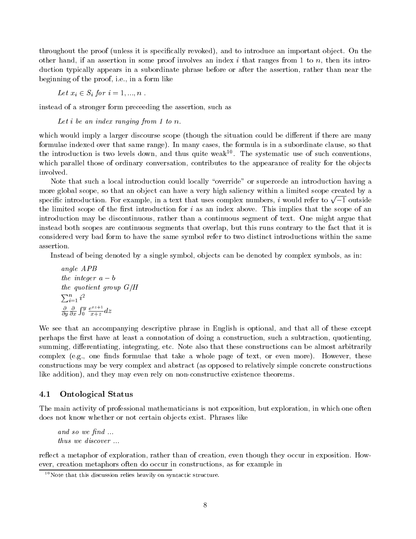throughout the proof (unless it is specifically revoked), and to introduce an important object. On the other hand, if an assertion in some proof involves an index i that ranges from 1 to n, then its introduction typically appears in a subordinate phrase before or after the assertion, rather than near the beginning of the proof, i.e., in a form like

Let  $x_i \in S_i$  for  $i = 1, ..., n$ .

instead of a stronger form preceeding the assertion, such as

Let i be an index ranging from  $1$  to  $n$ .

which would imply a larger discourse scope (though the situation could be different if there are many formulae indexed over that same range). In many cases, the formula is in a subordinate clause, so that the introduction is two levels down, and thus quite weak<sup>--</sup>. The systematic use of such conventions, which parallel those of ordinary conversation, contributes to the appearance of reality for the objects involved.

Note that such a local introduction could locally "override" or supercede an introduction having a more global scope, so that an object can have a very high saliency within a limited scope created by a specific introduction. For example, in a text that uses complex numbers, i would refer to  $\sqrt{-1}$  outside the limited scope of the first introduction for  $i$  as an index above. This implies that the scope of an introduction may be discontinuous, rather than a continuous segment of text. One might argue that instead both scopes are continuous segments that overlap, but this runs contrary to the fact that it is considered very bad form to have the same symbol refer to two distinct introductions within the same assertion.

Instead of being denoted by a single symbol, objects can be denoted by complex symbols, as in:

*angle APB*  
\n*the integer* 
$$
a - b
$$
  
\n*the quotient group*  $G/H$   
\n
$$
\sum_{i=1}^{n} i^{2}
$$
\n
$$
\frac{\partial}{\partial y} \frac{\partial}{\partial x} \int_{0}^{y} \frac{e^{xz+1}}{x+z} dz
$$

We see that an accompanying descriptive phrase in English is optional, and that all of these except perhaps the first have at least a connotation of doing a construction, such a subtraction, quotienting, summing, differentiating, integrating, etc. Note also that these constructions can be almost arbitrarily complex (e.g., one finds formulae that take a whole page of text, or even more). However, these constructions may be very complex and abstract (as opposed to relatively simple concrete constructions like addition), and they may even rely on non-constructive existence theorems.

#### 4.1 4.1 Ontological Status

The main activity of professional mathematicians is not exposition, but exploration, in which one often does not know whether or not certain objects exist. Phrases like

and so we find  $\dots$ thus we discover ...

reflect a metaphor of exploration, rather than of creation, even though they occur in exposition. However, creation metaphors often do occur in constructions, as for example in

 $10$ Note that this discussion relies heavily on syntactic structure.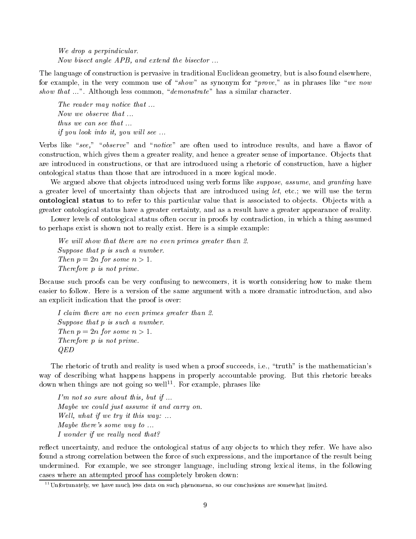We drop a perpindicular. Now bisect angle APB, and extend the bisector ...

The language of construction is pervasive in traditional Euclidean geometry, but is also found elsewhere, for example, in the very common use of "show" as synonym for "prove," as in phrases like "we now show that  $\ldots$ ". Although less common, "demonstrate" has a similar character.

The reader may notice that ... Now we observe that ... thus we can see that ... if you look into it, you will see  $\ldots$ 

Verbs like "see," "observe" and "notice" are often used to introduce results, and have a flavor of construction, which gives them a greater reality, and hence a greater sense of importance. Objects that are introduced in constructions, or that are introduced using a rhetoric of construction, have a higher ontological status than those that are introduced in a more logical mode.

We argued above that objects introduced using verb forms like *suppose*, assume, and granting have a greater level of uncertainty than objects that are introduced using let, etc.; we will use the term ontological status to to refer to this particular value that is associated to objects. Objects with a greater ontological status have a greater certainty, and as a result have a greater appearance of reality.

Lower levels of ontological status often occur in proofs by contradiction, in which a thing assumed to perhaps exist is shown not to really exist. Here is a simple example:

We will show that there are no even primes greater than  $2$ . Suppose that <sup>p</sup> is such a number. Then  $p = 2n$  for some  $n > 1$ . Therefore <sup>p</sup> is not prime.

Because such proofs can be very confusing to newcomers, it is worth considering how to make them easier to follow. Here is a version of the same argument with a more dramatic introduction, and also an explicit indication that the proof is over:

I claim there are no even primes greater than 2. Suppose that <sup>p</sup> is such a number. Then  $p = 2n$  for some  $n > 1$ . Therefore <sup>p</sup> is not prime. QED

The rhetoric of truth and reality is used when a proof succeeds, i.e., "truth" is the mathematician's way of describing what happens happens in properly accountable proving. But this rhetoric breaks down when things are not going so well<sup>11</sup> . For example, phrases like

I'm not so sure about this, but if ... Maybe we could just assume it and carry on. Well, what if we try it this way: ... Maybe there's some way to ... I wonder if we really need that?

reflect uncertainty, and reduce the ontological status of any objects to which they refer. We have also found a strong correlation between the force of such expressions, and the importance of the result being undermined. For example, we see stronger language, including strong lexical items, in the following cases where an attempted proof has completely broken down:

 $11$ Unfortunately, we have much less data on such phenomena, so our conclusions are somewhat limited.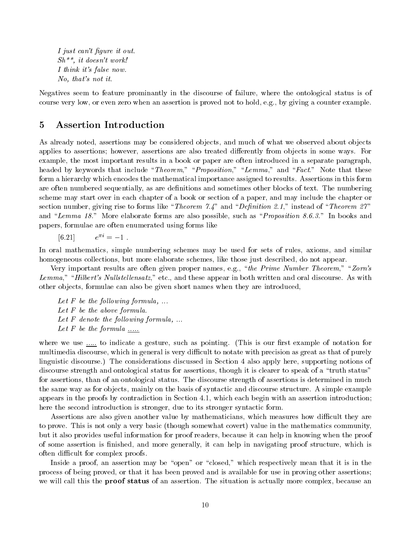I just can't figure it out.  $Sh^{**}$ , it doesn't work! I think it's false now. No, that's not it.

Negatives seem to feature prominantly in the discourse of failure, where the ontological status is of course very low, or even zero when an assertion is proved not to hold, e.g., by giving a counter example.

### 5 Assertion Introduction

As already noted, assertions may be considered objects, and much of what we observed about objects applies to assertions; however, assertions are also treated differently from objects in some ways. For example, the most important results in a book or paper are often introduced in a separate paragraph, headed by keywords that include "Theorem," "Proposition," "Lemma," and "Fact." Note that these form a hierarchy which encodes the mathematical importance assigned to results. Assertions in this form are often numbered sequentially, as are definitions and sometimes other blocks of text. The numbering scheme may start over in each chapter of a book or section of a paper, and may include the chapter or section number, giving rise to forms like "Theorem 7.4" and "Definition 2.1," instead of "Theorem 27" and "Lemma 18." More elaborate forms are also possible, such as "Proposition 8.6.3." In books and papers, formulae are often enumerated using forms like

 $e^{\pi i}=-1$ .  $[6.21]$  $\overline{a}$  extending the contract of the contract of the contract of the contract of the contract of the contract of the contract of the contract of the contract of the contract of the contract of the contract of the contra

In oral mathematics, simple numbering schemes may be used for sets of rules, axioms, and similar homogeneous collections, but more elaborate schemes, like those just described, do not appear.

Very important results are often given proper names, e.g., "the Prime Number Theorem," "Zorn's  $Lemma, "Hilbert's Nullstellensatz," etc., and these appear in both written and oral discourse. As with$ other objects, formulae can also be given short names when they are introduced,

Let  $F$  be the following formula, ... Let  $F$  be the above formula. Let  $F$  denote the following formula, ... Let  $F$  be the formula  $\dots$ 

where we use ..... to indicate a gesture, such as pointing. (This is our first example of notation for multimedia discourse, which in general is very difficult to notate with precision as great as that of purely linguistic discourse.) The considerations discussed in Section 4 also apply here, supporting notions of discourse strength and ontological status for assertions, though it is clearer to speak of a "truth status" for assertions, than of an ontological status. The discourse strength of assertions is determined in much the same way as for objects, mainly on the basis of syntactic and discourse structure. A simple example appears in the proofs by contradiction in Section 4.1, which each begin with an assertion introduction; here the second introduction is stronger, due to its stronger syntactic form.

Assertions are also given another value by mathematicians, which measures how difficult they are to prove. This is not only a very basic (though somewhat covert) value in the mathematics community, but it also provides useful information for proof readers, because it can help in knowing when the proof of some assertion is finished, and more generally, it can help in navigating proof structure, which is often difficult for complex proofs.

Inside a proof, an assertion may be "open" or "closed," which respectively mean that it is in the process of being proved, or that it has been proved and is available for use in proving other assertions; we will call this the **proof status** of an assertion. The situation is actually more complex, because an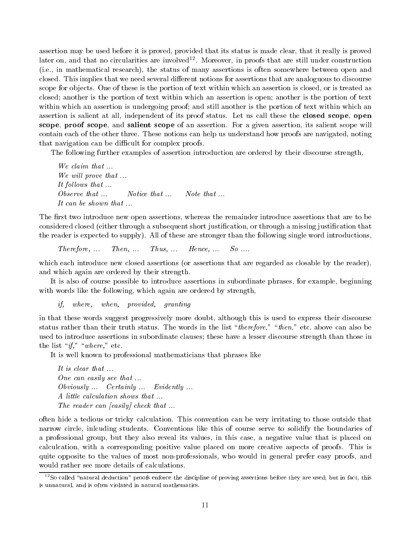assertion may be used before it is proved, provided that its status is made clear, that it really is proved rater on, and that no circularities are involved – Moreover, in proois that are still under construction (i.e., in mathematical research), the status of many assertions is often somewhere between open and closed. This implies that we need several different notions for assertions that are analoguous to discourse scope for objects. One of these is the portion of text within which an assertion is closed, or is treated as closed; another is the portion of text within which an assertion is open; another is the portion of text within which an assertion is undergoing proof; and still another is the portion of text within which an assertion is salient at all, independent of its proof status. Let us call these the closed scope, open scope, proof scope, and salient scope of an assertion. For a given assertion, its salient scope will contain each of the other three. These notions can help us understand how proofs are navigated, noting that navigation can be difficult for complex proofs.

The following further examples of assertion introduction are ordered by their discourse strength,

We claim that ... We will prove that  $\ldots$ It follows that  $\ldots$ Observe that ... Notice that ... Note that ... It can be shown that ...

The first two introduce new open assertions, whereas the remainder introduce assertions that are to be considered closed (either through a subsequent short justication, or through a missing justication that the reader is expected to supply). All of these are stronger than the following single word introductions,

Therefore,  $\ldots$  Then,  $\ldots$  Thus,  $\ldots$  Hence,  $\ldots$  So  $\ldots$ 

which each introduce new closed assertions (or assertions that are regarded as closable by the reader), and which again are ordered by their strength.

It is also of course possible to introduce assertions in subordinate phrases, for example, beginning with words like the following, which again are ordered by strength.

if, where, when, provided, granting

in that these words suggest progressively more doubt, although this is used to express their discourse status rather than their truth status. The words in the list "therefore," "then," etc. above can also be used to introduce assertions in subordinate clauses; these have a lesser discourse strength than those in the list " $if,$ " "where," etc.

It is well known to professional mathematicians that phrases like

It is clear that ... One can easily see that ... Obviously  $\ldots$  Certainly  $\ldots$  Evidently  $\ldots$ <br>A little calculation shows that  $\ldots$ The reader can [easily] check that  $\ldots$ 

often hide a tedious or tricky calculation. This convention can be very irritating to those outside that narrow circle, inlcuding students. Conventions like this of course serve to solidify the boundaries of a professional group, but they also reveal its values, in this case, a negative value that is placed on calculcation, with a corresponding positive value placed on more creative aspects of proofs. This is quite opposite to the values of most non-professionals, who would in general prefer easy proofs, and would rather see more details of calculations.

 $12$ So called "natural deduction" proofs enforce the discipline of proving assertions before they are used; but in fact, this is unnatural, and is often violated in natural mathematics.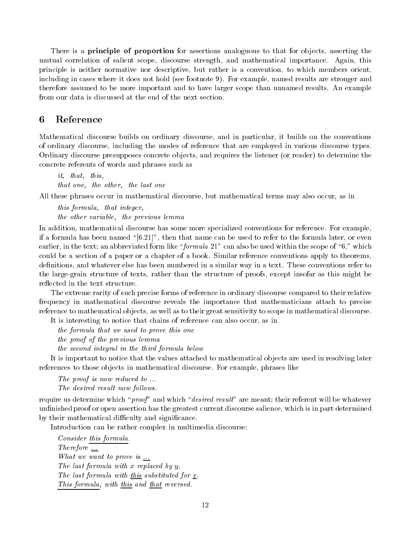There is a **principle of proportion** for assertions analoguous to that for objects, asserting the mutual correlation of salient scope, discourse strength, and mathematical importance. Again, this principle is neither normative nor descriptive, but rather is a convention, to which members orient, including in cases where it does not hold (see footnote 9). For example, named results are stronger and therefore assumed to be more important and to have larger scope than unnamed results. An example from our data is discussed at the end of the next section.

### 6 Reference

Mathematical discourse builds on ordinary discourse, and in particular, it builds on the conventions of ordinary discourse, including the modes of reference that are employed in various discourse types. Ordinary discourse presupposes concrete ob jects, and requires the listener (or reader) to determine the concrete referents of words and phrases such as

it, that, this, that one, the other, the last one

All these phrases occur in mathematical discourse, but mathematical terms may also occur, as in

this formula, that integer, the other variable, the previous lemma

In addition, mathematical discourse has some more specialized conventions for reference. For example, if a formula has been named " $[6.21]$ ", then that name can be used to refer to the formula later, or even earlier, in the text; an abbreviated form like "formula 21" can also be used within the scope of " $6$ ," which could be a section of a paper or a chapter of a book. Similar reference conventions apply to theorems, definitions, and whatever else has been numbered in a similar way in a text. These conventions refer to the large-grain structure of texts, rather than the structure of proofs, except insofar as this might be reflected in the text structure.

The extreme rarity of such precise forms of reference in ordinary discourse compared to their relative frequency in mathematical discourse reveals the importance that mathematicians attach to precise reference to mathematical objects, as well as to their great sensitivity to scope in mathematical discourse. It is interesting to notice that chains of reference can also occur, as in

the formula that we used to prove this one

the proof of the previous lemma

the second integral in the third formula below

It is important to notice that the values attached to mathematical objects are used in resolving later references to those objects in mathematical discourse. For example, phrases like

The proof is now reduced to ... The desired result now follows.

require us determine which "*proof*" and which "*desired result*" are meant; their referent will be whatever unfinished proof or open assertion has the greatest current discourse salience, which is in part determined by their mathematical difficulty and significance.

Introduction can be rather complex in multimedia discourse:

Consider this formula. Therefore <u>...</u> What we want to prove is  $\ldots$ The last formula with <sup>x</sup> replaced by y. The last formula with this substituted for  $\underline{x}$ . This formula, with this and that reversed.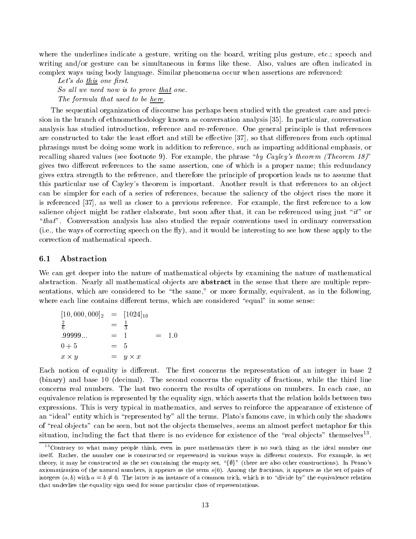where the underlines indicate a gesture, writing on the board, writing plus gesture, etc.; speech and writing and/or gesture can be simultaneous in forms like these. Also, values are often indicated in complex ways using body language. Similar phenomena occur when assertions are referenced:

Let's do  $this$  one first.

So all we need now is to prove that one.

The formula that used to be <u>here</u>.

The sequential organization of discourse has perhaps been studied with the greatest care and precision in the branch of ethnomethodology known as conversation analysis [35]. In particular, conversation analysis has studied introduction, reference and re-reference. One general principle is that references are constructed to take the least effort and still be effective  $[37]$ , so that differences from such optimal phrasings must be doing some work in addition to reference, such as imparting additional emphasis, or recalling shared values (see footnote 9). For example, the phrase "by Cayley's theorem (Theorem 18)" gives two different references to the same assertion, one of which is a proper name; this redundancy gives extra strength to the reference, and therefore the principle of proportion leads us to assume that this particular use of Cayley's theorem is important. Another result is that references to an object can be simpler for each of a series of references, because the saliency of the object rises the more it is referenced [37], as well as closer to a previous reference. For example, the first reference to a low salience object might be rather elaborate, but soon after that, it can be referenced using just " $it"$  or "that". Conversation analysis has also studied the repair conventions used in ordinary conversation (i.e., the ways of correcting speech on the fly), and it would be interesting to see how these apply to the correction of mathematical speech.

#### 6.1 Abstraction

We can get deeper into the nature of mathematical objects by examining the nature of mathematical abstraction. Nearly all mathematical objects are **abstract** in the sense that there are multiple representations, which are considered to be "the same," or more formally, equivalent, as in the following, where each line contains different terms, which are considered "equal" in some sense:

| $[10, 000, 000]_2 = [1024]_{10}$ |       |                |     |     |
|----------------------------------|-------|----------------|-----|-----|
| $\frac{2}{6}$                    | $=$   | $\frac{1}{3}$  |     |     |
| .99999                           | $=$   |                | $=$ | 1.0 |
| $0+5$                            | $=$ 5 |                |     |     |
| $x \times y$                     |       | $= y \times x$ |     |     |

Each notion of equality is different. The first concerns the representation of an integer in base 2 (binary) and base 10 (decimal). The second concerns the equality of fractions, while the third line concerns real numbers. The last two concern the results of operations on numbers. In each case, an equivalence relation is represented by the equality sign, which asserts that the relation holds between two expressions. This is very typical in mathematics, and serves to reinforce the appearance of existence of an "ideal" entity which is "represented by" all the terms. Plato's famous cave, in which only the shadows of "real objects" can be seen, but not the objects themselves, seems an almost perfect metaphor for this  $\,$  situation, including the fact that there is no evidence for existence of the  $\,$  real objects  $\,$  themselves  $\,$  .

<sup>&</sup>lt;sup>13</sup>Contrary to what many people think, even in pure mathematics there is no such thing as the ideal number one itself. Rather, the number one is constructed or represented in various ways in different contexts. For example, in set theory, it may be constructed as the set containing the empty set, " $\{\emptyset\}$ " (there are also other constructions). In Peano's axiomatization of the natural numbers, it appears as the term s(0). Among the fractions, it appears as the set of pairs of integers  $(a, b)$  with  $a = b \neq 0$ . The latter is an instance of a common trick, which is to "divide by" the equivalence relation that underlies the equality sign used for some particular class of representations.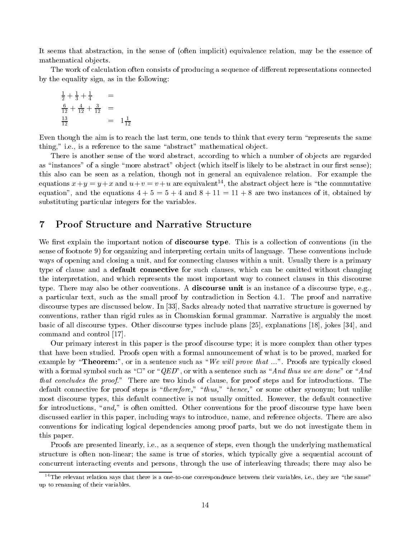It seems that abstraction, in the sense of (often implicit) equivalence relation, may be the essence of mathematical objects.

The work of calculation often consists of producing a sequence of different representations connected by the equality sign, as in the following:

$$
\frac{1}{2} + \frac{1}{3} + \frac{1}{4} =
$$
\n
$$
\frac{6}{12} + \frac{4}{12} + \frac{3}{12} =
$$
\n
$$
\frac{13}{12} = 1\frac{1}{12}
$$

Even though the aim is to reach the last term, one tends to think that every term "represents the same thing," i.e., is a reference to the same "abstract" mathematical object.

There is another sense of the word abstract, according to which a number of objects are regarded as "instances" of a single "more abstract" object (which itself is likely to be abstract in our first sense); this also can be seen as a relation, though not in general an equivalence relation. For example the equations  $x + y = y + x$  and  $u + v = v + u$  are equivalent  $\cdot$ , the abstract object here is  $\tau$ the commutative equation", and the equations  $4+5=5+4$  and  $8+11=11+8$  are two instances of it, obtained by substituting particular integers for the variables.

## 7 Proof Structure and Narrative Structure

We first explain the important notion of **discourse type**. This is a collection of conventions (in the sense of footnote 9) for organizing and interpreting certain units of language. These conventions include ways of opening and closing a unit, and for connecting clauses within a unit. Usually there is a primary type of clause and a default connective for such clauses, which can be omitted without changing the interpretation, and which represents the most important way to connect clauses in this discourse type. There may also be other conventions. A discourse unit is an instance of a discourse type, e.g., a particular text, such as the small proof by contradiction in Section 4.1. The proof and narrative discourse types are discussed below. In [33], Sacks already noted that narrative structure is governed by conventions, rather than rigid rules as in Chomskian formal grammar. Narrative is arguably the most basic of all discourse types. Other discourse types include plans [25], explanations [18], jokes [34], and command and control [17].

Our primary interest in this paper is the proof discourse type; it is more complex than other types that have been studied. Proofs open with a formal announcement of what is to be proved, marked for example by "**Theorem:**", or in a sentence such as "We will prove that  $\ldots$ ". Proofs are typically closed with a formal symbol such as " $\Box$ " or " $QED$ ", or with a sentence such as "And thus we are done" or "And that concludes the proof." There are two kinds of clause, for proof steps and for introductions. The default connective for proof steps is "therefore," "thus," "hence," or some other synonym; but unlike most discourse types, this default connective is not usually omitted. However, the default connective for introductions, "and," is often omitted. Other conventions for the proof discourse type have been discussed earlier in this paper, including ways to introduce, name, and reference objects. There are also conventions for indicating logical dependencies among proof parts, but we do not investigate them in this paper.

Proofs are presented linearly, i.e., as a sequence of steps, even though the underlying mathematical structure is often non-linear; the same is true of stories, which typically give a sequential account of concurrent interacting events and persons, through the use of interleaving threads; there may also be

 $14$ The relevant relation says that there is a one-to-one correspondence between their variables, i.e., they are "the same" up to renaming of their variables.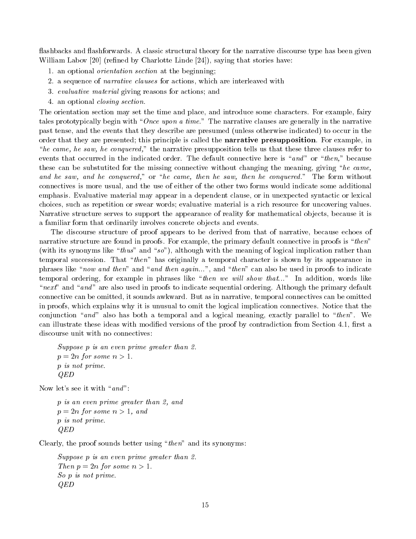flashbacks and flashforwards. A classic structural theory for the narrative discourse type has been given William Labov  $[20]$  (refined by Charlotte Linde  $[24]$ ), saying that stories have:

- 1. an optional orientation section at the beginning;
- 2. a sequence of *narrative clauses* for actions, which are interleaved with
- 3. evaluative material giving reasons for actions; and
- 4. an optional closing section.

The orientation section may set the time and place, and introduce some characters. For example, fairy tales prototypically begin with "Once upon a time." The narrative clauses are generally in the narrative past tense, and the events that they describe are presumed (unless otherwise indicated) to occur in the order that they are presented; this principle is called the narrative presupposition. For example, in "he came, he saw, he conquered," the narrative presupposition tells us that these three clauses refer to events that occurred in the indicated order. The default connective here is "and" or "then," because these can be substutited for the missing connective without changing the meaning, giving "he came, and he saw, and he conquered," or "he came, then he saw, then he conquered." The form without connectives is more usual, and the use of either of the other two forms would indicate some additional emphasis. Evaluative material may appear in a dependent clause, or in unexpected syntactic or lexical choices, such as repetition or swear words; evaluative material is a rich resource for uncovering values. Narrative structure serves to support the appearance of reality for mathematical objects, because it is a familiar form that ordinarily involves concrete objects and events.

The discourse structure of proof appears to be derived from that of narrative, because echoes of narrative structure are found in proofs. For example, the primary default connective in proofs is "then" (with its synonyms like "thus" and "so"), although with the meaning of logical implication rather than temporal succession. That "then" has originally a temporal character is shown by its appearance in phrases like "now and then" and "and then again...", and "then" can also be used in proofs to indicate temporal ordering, for example in phrases like "then we will show that..." In addition, words like "next" and " and" are also used in proofs to indicate sequential ordering. Although the primary default connective can be omitted, it sounds awkward. But as in narrative, temporal connectives can be omitted in proofs, which explains why it is unusual to omit the logical implication connectives. Notice that the conjunction " and" also has both a temporal and a logical meaning, exactly parallel to " then". We can illustrate these ideas with modified versions of the proof by contradiction from Section 4.1, first a discourse unit with no connectives:

Suppose <sup>p</sup> is an even prime greater than 2.  $p = 2n$  for some  $n > 1$ . <sup>p</sup> is not prime. QED

Now let's see it with " $and$ ":

<sup>p</sup> is an even prime greater than 2, and  $p = 2n$  for some  $n > 1$ , and <sup>p</sup> is not prime. QED

Clearly, the proof sounds better using "then" and its synonyms:

```
Suppose p is an even prime greater than 2.
Then p = 2n for some n > 1.
So p is not prime.
QED
```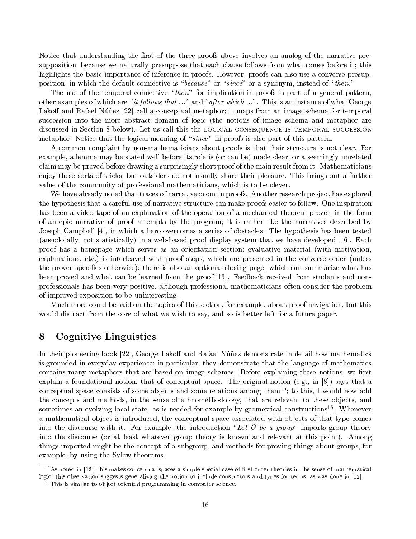Notice that understanding the first of the three proofs above involves an analog of the narrative presupposition, because we naturally presuppose that each clause follows from what comes before it; this highlights the basic importance of inference in proofs. However, proofs can also use a converse presupposition, in which the default connective is "because" or "since" or a synonym, instead of "then."

The use of the temporal connective "then" for implication in proofs is part of a general pattern, other examples of which are "*it follows that ...*" and "*after which ...*". This is an instance of what George Lakoff and Rafael Núñez  $[22]$  call a conceptual metaphor; it maps from an image schema for temporal succession into the more abstract domain of logic (the notions of image schema and metaphor are discussed in Section 8 below). Let us call this the logical consequence is temporal succession is temporal succession metaphor. Notice that the logical meaning of "since" in proofs is also part of this pattern.

A common complaint by non-mathematicians about proofs is that their structure is not clear. For example, a lemma may be stated well before its role is (or can be) made clear, or a seemingly unrelated claim may be proved before drawing a surprisingly short proof of the main result from it. Mathematicians enjoy these sorts of tricks, but outsiders do not usually share their pleasure. This brings out a further value of the community of professional mathematicians, which is to be clever.

We have already noted that traces of narrative occur in proofs. Another research project has explored the hypothesis that a careful use of narrative structure can make proofs easier to follow. One inspiration has been a video tape of an explanation of the operation of a mechanical theorem prover, in the form of an epic narrative of proof attempts by the program; it is rather like the narratives described by Joseph Campbell [4], in which a hero overcomes a series of obstacles. The hypothesis has been tested (anecdotally, not statistically) in a web-based proof display system that we have developed [16]. Each proof has a homepage which serves as an orientation section; evaluative material (with motivation, explanations, etc.) is interleaved with proof steps, which are presented in the converse order (unless the prover species otherwise); there is also an optional closing page, which can summarize what has been proved and what can be learned from the proof [13]. Feedback received from students and nonprofessionals has been very positive, although professional mathematicians often consider the problem of improved exposition to be uninteresting.

Much more could be said on the topics of this section, for example, about proof navigation, but this would distract from the core of what we wish to say, and so is better left for a future paper.

#### 8 Cognitive Linguistics

In their pioneering book  $[22]$ , George Lakoff and Rafael Numez demonstrate in detail how mathematics is grounded in everyday experience; in particular, they demonstrate that the language of mathematics contains many metaphors that are based on image schemas. Before explaining these notions, we first explain a foundational notion, that of conceptual space. The original notion (e.g., in [8]) says that a conceptual space consists of some objects and some relations among them<sup>15</sup>; to this, I would now add the concepts and methods, in the sense of ethnomethodology, that are relevant to these objects, and somethnes an evolving local state, as is needed for example by geometrical constructions – whenever a mathematical object is introduced, the conceptual space associated with objects of that type comes into the discourse with it. For example, the introduction "Let G be a group" imports group theory into the discourse (or at least whatever group theory is known and relevant at this point). Among things imported might be the concept of a subgroup, and methods for proving things about groups, for example, by using the Sylow theorems.

<sup>&</sup>lt;sup>15</sup>As noted in [12], this makes conceptual spaces a simple special case of first order theories in the sense of mathematical logic; this observation suggests generalizing the notion to include constuctors and types for terms, as was done in [12].

 $16$ This is similar to object oriented programming in computer science.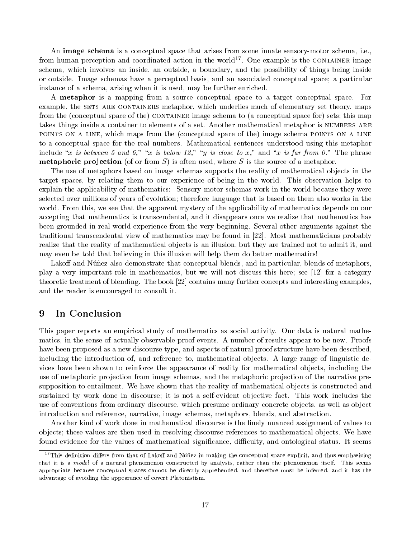An image schema is a conceptual space that arises from some innate sensory-motor schema, i.e., from numan perception and coordinated action in the world 17 One example is the CONTA container image schema, which involves an inside, an outside, a boundary, and the possibility of things being inside or outside. Image schemas have a perceptual basis, and an associated conceptual space; a particular instance of a schema, arising when it is used, may be further enriched.

A metaphor is a mapping from a source conceptual space to a target conceptual space. For example, the sers ARE CONTAINERS metaphor, which underlies much of elementary set theory, maps sets are contributed metaphor, which underlies metaphores is elementary set theory, maps  $\mathbf{r}$ from the (conceptual space of the) container image schema to (a conceptual space for) sets; this map takes things inside a container to elements of a set. Another mathematical metaphor is numbers are points on a line, which maps from the (conceptual space of the) image schema points on a line to a conceptual space for the real numbers. Mathematical sentences understood using this metaphor include "x is between 5 and 6," "x is below 12," "y is close to x," and "x is far from 0." The phrase **metaphoric projection** (of or from S) is often used, where S is the source of a metaphor.

The use of metaphors based on image schemas supports the reality of mathematical objects in the target spaces, by relating them to ourexperience of being in the world. This observation helps to explain the applicability of mathematics: Sensory-motor schemas work in the world because they were selected over millions of years of evolution; therefore language that is based on them also works in the world. From this, we see that the apparent mystery of the applicability of mathematics depends on our accepting that mathematics is transcendental, and it disappears once we realize that mathematics has been grounded in real world experience from the very beginning. Several other arguments against the traditional transcendental view of mathematics may be found in [22]. Most mathematicians probably realize that the reality of mathematical objects is an illusion, but they are trained not to admit it, and may even be told that believing in this illusion will help them do better mathematics!

Lakoff and Numez also demonstrate that conceptual blends, and in particular, blends of metaphors, play a very important role in mathematics, but we will not discuss this here; see [12] for a category theoretic treatment of blending. The book [22] contains many further concepts and interesting examples, and the reader is encouraged to consult it.

#### 9 In Conclusion

This paper reports an empirical study of mathematics as social activity. Our data is natural mathematics, in the sense of actually observable proof events. A number of results appear to be new. Proofs have been proposed as a new discourse type, and aspects of natural proof structure have been described, including the introduction of, and reference to, mathematical objects. A large range of linguistic devices have been shown to reinforce the appearance of reality for mathematical ob jects, including the use of metaphoric projection from image schemas, and the metaphoric projection of the narrative presupposition to entailment. We have shown that the reality of mathematical objects is constructed and sustained by work done in discourse; it is not a self-evident objective fact. This work includes the use of conventions from ordinary discourse, which presume ordinary concrete objects, as well as object introduction and reference, narrative, image schemas, metaphors, blends, and abstraction.

Another kind of work done in mathematical discourse is the finely nuanced assignment of values to objects; these values are then used in resolving discourse references to mathematical objects. We have found evidence for the values of mathematical significance, difficulty, and ontological status. It seems

 $17$ This definition differs from that of Lakoff and Numez in making the conceptual space explicit, and thus emphasizing that it is a model of a natural phenomenon constructed by analysts, rather than the phenomenon itself. This seems appropriate because conceptual spaces cannot be directly apprehended, and therefore must be inferred, and it has the advantage of avoiding the appearance of covert Platonistism.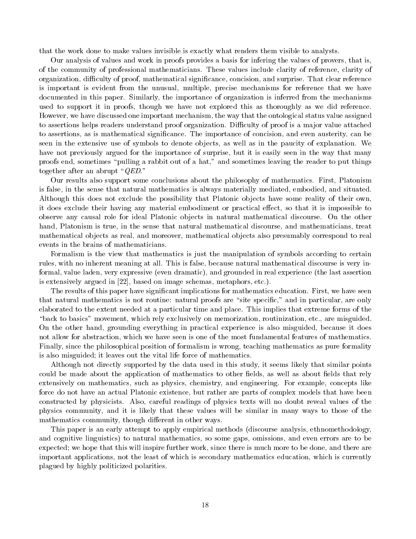that the work done to make values invisible is exactly what renders them visible to analysts.

Our analysis of values and work in proofs provides a basis for infering the values of provers, that is, of the community of professional mathematicians. These values include clarity of reference, clarity of organization, difficulty of proof, mathematical significance, concision, and surprise. That clear reference is important is evident from the unusual, multiple, precise mechanisms for reference that we have documented in this paper. Similarly, the importance of organization is inferred from the mechanisms used to support it in proofs, though we have not explored this as thoroughly as we did reference. However, we have discussed one important mechanism, the way that the ontological status value assigned to assertions helps readers understand proof organization. Difficulty of proof is a major value attached to assertions, as is mathematical signicance. The importance of concision, and even austerity, can be seen in the extensive use of symbols to denote objects, as well as in the paucity of explanation. We have not previously argued for the importance of surprise, but it is easily seen in the way that many proofs end, sometimes \pulling a rabbit out of a hat," and sometimes leaving the reader to put things together after an abrupt " $QED$ ."

Our results also support some conclusions about the philosophy of mathematics. First, Platonism is false, in the sense that natural mathematics is always materially mediated, embodied, and situated. Although this does not exclude the possibility that Platonic ob jects have some reality of their own, it does exclude their having any material embodiment or practical effect, so that it is impossible to observe any causal role for ideal Platonic ob jects in natural mathematical discourse. On the other hand, Platonism is true, in the sense that natural mathematical discourse, and mathematicians, treat mathematical objects as real, and moreover, mathematical objects also presumably correspond to real events in the brains of mathematicians.

Formalism is the view that mathematics is just the manipulation of symbols according to certain rules, with no inherent meaning at all. This is false, because natural mathematical discourse is very informal, value laden, very expressive (even dramatic), and grounded in real experience (the last assertion is extensively argued in [22], based on image schemas, metaphors, etc.).

The results of this paper have signicant implications for mathematics education. First, we have seen that natural mathematics is not routine: natural proofs are "site specific," and in particular, are only elaborated to the extent needed at a particular time and place. This implies that extreme forms of the "back to basics" movement, which rely exclusively on memorization, routinization, etc., are misguided. On the other hand, grounding everything in practical experience is also misguided, because it does not allow for abstraction, which we have seen is one of the most fundamental features of mathematics. Finally, since the philosophical position of formalism is wrong, teaching mathematics as pure formality is also misguided; it leaves out the vital life force of mathematics.

Although not directly supported by the data used in this study, it seems likely that similar points could be made about the application of mathematics to other fields, as well as about fields that rely extensively on mathematics, such as physics, chemistry, and engineering. For example, concepts like force do not have an actual Platonic existence, but rather are parts of complex models that have been constructed by physicists. Also, careful readings of physics texts will no doubt reveal values of the physics community, and it is likely that these values will be similar in many ways to those of the mathematics community, though different in other ways.

This paper is an early attempt to apply empirical methods (discourse analysis, ethnomethodology, and cognitive linguistics) to natural mathematics, so some gaps, omissions, and even errors are to be expected; we hope that this will inspire further work, since there is much more to be done, and there are important applications, not the least of which is secondary mathematics education, which is currently plagued by highly politicized polarities.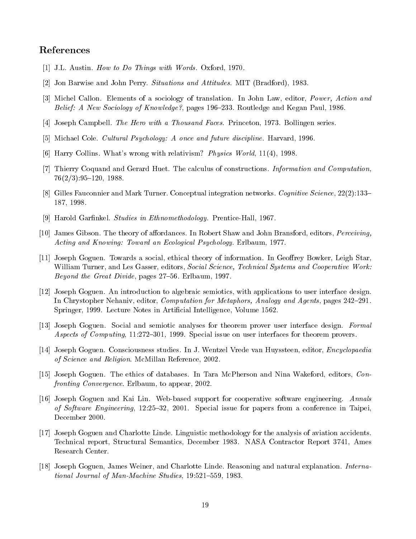#### References

- [1] J.L. Austin. How to Do Things with Words. Oxford, 1970.
- [2] Jon Barwise and John Perry. Situations and Attitudes. MIT (Bradford), 1983.
- [3] Michel Callon. Elements of a sociology of translation. In John Law, editor, Power, Action and Belief: A New Sociology of Knowledge?, pages 196-233. Routledge and Kegan Paul, 1986.
- [4] Joseph Campbell. The Hero with a Thousand Faces. Princeton, 1973. Bollingen series.
- [5] Michael Cole. Cultural Psychology: A once and future discipline. Harvard, 1996.
- [6] Harry Collins. What's wrong with relativism? Physics World, 11(4), 1998.
- [7] Thierry Coquand and Gerard Huet. The calculus of constructions. Information and Computation,  $76(2/3):95{-}120, 1988.$
- [8] Gilles Fauconnier and Mark Turner. Conceptual integration networks. Cognitive Science, 22(2):133-187, 1998.
- [9] Harold Garfinkel. *Studies in Ethnomethodology*. Prentice-Hall, 1967.
- [10] James Gibson. The theory of affordances. In Robert Shaw and John Bransford, editors, *Perceiving*, Acting and Knowing: Toward an Ecological Psychology. Erlbaum, 1977.
- [11] Joseph Goguen. Towards a social, ethical theory of information. In Geoffrey Bowker, Leigh Star, William Turner, and Les Gasser, editors, Social Science, Technical Systems and Cooperative Work: Beyond the Great Divide, pages 27-56. Erlbaum, 1997.
- [12] Joseph Goguen. An introduction to algebraic semiotics, with applications to user interface design. In Chrystopher Nehaniv, editor, *Computation for Metaphors, Analogy and Agents*, pages  $242-291$ . Springer, 1999. Lecture Notes in Artificial Intelligence, Volume 1562.
- [13] Joseph Goguen. Social and semiotic analyses for theorem prover user interface design. Formal Aspects of Computing,  $11:272-301$ , 1999. Special issue on user interfaces for theorem provers.
- [14] Joseph Goguen. Consciousness studies. In J. Wentzel Vrede van Huyssteen, editor, Encyclopaedia of Science and Religion. McMillan Reference, 2002.
- [15] Joseph Goguen. The ethics of databases. In Tara McPherson and Nina Wakeford, editors, Confronting Convergence. Erlbaum, to appear, 2002.
- [16] Joseph Goguen and KaiLin. Web-based support for cooperative software engineering. Annals of Software Engineering, 12:25-32, 2001. Special issue for papers from a conference in Taipei, December 2000.
- [17] Joseph Goguen and Charlotte Linde. Linguistic methodology for the analysis of aviation accidents. Technical report, Structural Semantics, December 1983. NASA Contractor Report 3741, Ames Research Center.
- [18] Joseph Goguen, James Weiner, and Charlotte Linde. Reasoning and natural explanation. International Journal of Man-Machine Studies, 19:521-559, 1983.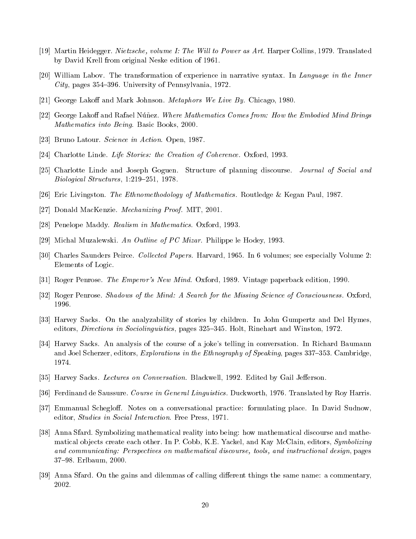- [19] Martin Heidegger. *Nietzsche, volume I: The Will to Power as Art*. Harper Collins, 1979. Translated by David Krell from original Neske edition of 1961.
- [20] William Labov. The transformation of experience in narrative syntax. In Language in the Inner City, pages 354–396. University of Pennsylvania, 1972.
- [21] George Lakoff and Mark Johnson. Metaphors We Live By. Chicago, 1980.
- [22] George Lakoff and Rafael Núñez. Where Mathematics Comes from: How the Embodied Mind Brings Mathematics into Being. Basic Books, 2000.
- [23] Bruno Latour. Science in Action. Open, 1987.
- [24] Charlotte Linde. Life Stories: the Creation of Coherence. Oxford, 1993.
- [25] Charlotte Linde and Joseph Goguen. Structure of planning discourse. Journal of Social and  $Biological Structures, 1:219-251, 1978.$
- [26] Eric Livingston. The Ethnomethodology of Mathematics. Routledge & Kegan Paul, 1987.
- [27] Donald MacKenzie. Mechanizing Proof. MIT, 2001.
- [28] Penelope Maddy. Realism in Mathematics. Oxford, 1993.
- [29] Michal Muzalewski. An Outline of PC Mizar. Philippe le Hodey, 1993.
- [30] Charles Saunders Peirce. Collected Papers. Harvard, 1965. In 6 volumes; see especially Volume 2: Elements of Logic.
- [31] Roger Penrose. The Emperor's New Mind. Oxford, 1989. Vintage paperback edition, 1990.
- [32] Roger Penrose. Shadows of the Mind: A Search for the Missing Science of Consciousness. Oxford, 1996.
- [33] Harvey Sacks. On the analyzability of stories by children. In John Gumpertz and Del Hymes, editors, *Directions in Sociolinguistics*, pages 325–345. Holt, Rinehart and Winston, 1972.
- [34] Harvey Sacks. An analysis of the course of a joke's telling in conversation. In Richard Baumann and Joel Scherzer, editors, *Explorations in the Ethnography of Speaking*, pages 337–353. Cambridge, 1974.
- [35] Harvey Sacks. Lectures on Conversation. Blackwell, 1992. Edited by Gail Jefferson.
- [36] Ferdinand de Saussure. Course in General Linguistics. Duckworth, 1976. Translated by Roy Harris.
- [37] Emmanual Schegloff. Notes on a conversational practice: formulating place. In David Sudnow, editor, Studies in Social Interaction. Free Press, 1971.
- [38] Anna Sfard. Symbolizing mathematical reality into being: how mathematical discourse and mathematical objects create each other. In P. Cobb, K.E. Yackel, and Kay McClain, editors, Symbolizing and communicating: Perspectives on mathematical discourse, tools, and instructional design, pages 37-98. Erlbaum, 2000.
- [39] Anna Sfard. On the gains and dilemmas of calling different things the same name: a commentary, 2002.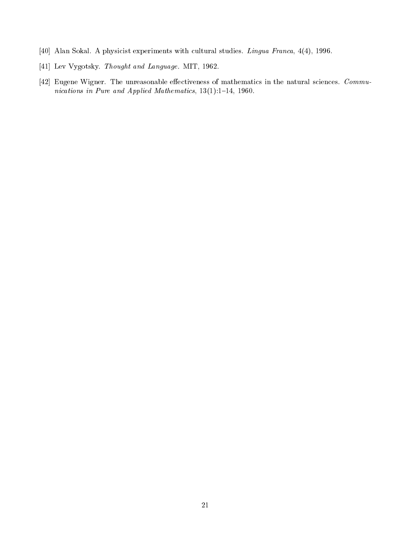- [40] Alan Sokal. A physicist experiments with cultural studies. Lingua Franca, 4(4), 1996.
- [41] Lev Vygotsky. Thought and Language. MIT, 1962.
- [42] Eugene Wigner. The unreasonable effectiveness of mathematics in the natural sciences.  $Commu$ nications in Pure and Applied Mathematics,  $13(1):1-14$ , 1960.